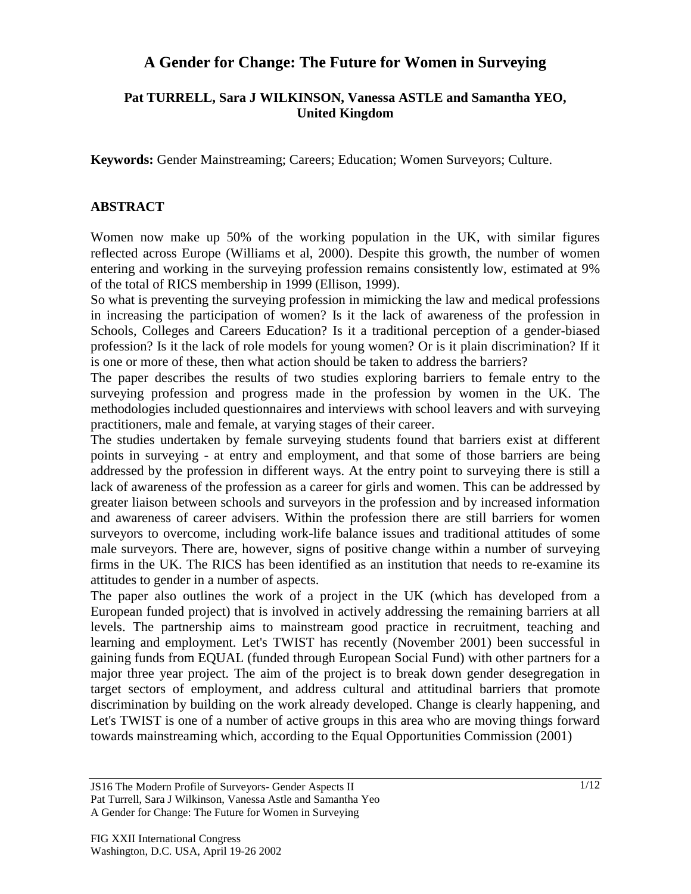# **A Gender for Change: The Future for Women in Surveying**

## **Pat TURRELL, Sara J WILKINSON, Vanessa ASTLE and Samantha YEO, United Kingdom**

**Keywords:** Gender Mainstreaming; Careers; Education; Women Surveyors; Culture.

#### **ABSTRACT**

Women now make up 50% of the working population in the UK, with similar figures reflected across Europe (Williams et al, 2000). Despite this growth, the number of women entering and working in the surveying profession remains consistently low, estimated at 9% of the total of RICS membership in 1999 (Ellison, 1999).

So what is preventing the surveying profession in mimicking the law and medical professions in increasing the participation of women? Is it the lack of awareness of the profession in Schools, Colleges and Careers Education? Is it a traditional perception of a gender-biased profession? Is it the lack of role models for young women? Or is it plain discrimination? If it is one or more of these, then what action should be taken to address the barriers?

The paper describes the results of two studies exploring barriers to female entry to the surveying profession and progress made in the profession by women in the UK. The methodologies included questionnaires and interviews with school leavers and with surveying practitioners, male and female, at varying stages of their career.

The studies undertaken by female surveying students found that barriers exist at different points in surveying - at entry and employment, and that some of those barriers are being addressed by the profession in different ways. At the entry point to surveying there is still a lack of awareness of the profession as a career for girls and women. This can be addressed by greater liaison between schools and surveyors in the profession and by increased information and awareness of career advisers. Within the profession there are still barriers for women surveyors to overcome, including work-life balance issues and traditional attitudes of some male surveyors. There are, however, signs of positive change within a number of surveying firms in the UK. The RICS has been identified as an institution that needs to re-examine its attitudes to gender in a number of aspects.

The paper also outlines the work of a project in the UK (which has developed from a European funded project) that is involved in actively addressing the remaining barriers at all levels. The partnership aims to mainstream good practice in recruitment, teaching and learning and employment. Let's TWIST has recently (November 2001) been successful in gaining funds from EQUAL (funded through European Social Fund) with other partners for a major three year project. The aim of the project is to break down gender desegregation in target sectors of employment, and address cultural and attitudinal barriers that promote discrimination by building on the work already developed. Change is clearly happening, and Let's TWIST is one of a number of active groups in this area who are moving things forward towards mainstreaming which, according to the Equal Opportunities Commission (2001)

JS16 The Modern Profile of Surveyors- Gender Aspects II Pat Turrell, Sara J Wilkinson, Vanessa Astle and Samantha Yeo A Gender for Change: The Future for Women in Surveying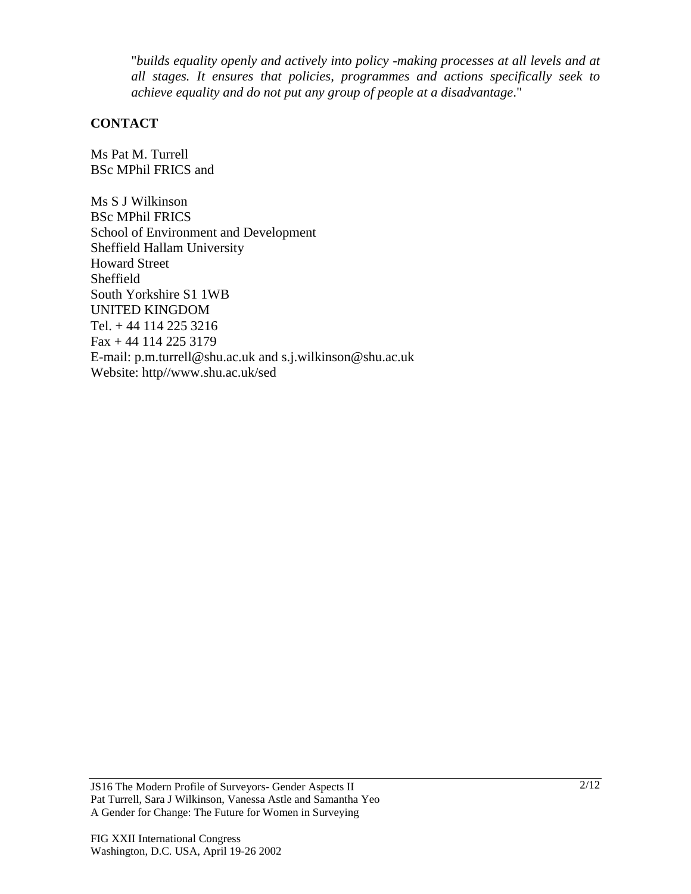"*builds equality openly and actively into policy -making processes at all levels and at all stages. It ensures that policies, programmes and actions specifically seek to achieve equality and do not put any group of people at a disadvantage*."

#### **CONTACT**

Ms Pat M. Turrell BSc MPhil FRICS and

Ms S J Wilkinson BSc MPhil FRICS School of Environment and Development Sheffield Hallam University Howard Street Sheffield South Yorkshire S1 1WB UNITED KINGDOM Tel. + 44 114 225 3216 Fax + 44 114 225 3179 E-mail: p.m.turrell@shu.ac.uk and s.j.wilkinson@shu.ac.uk Website: http//www.shu.ac.uk/sed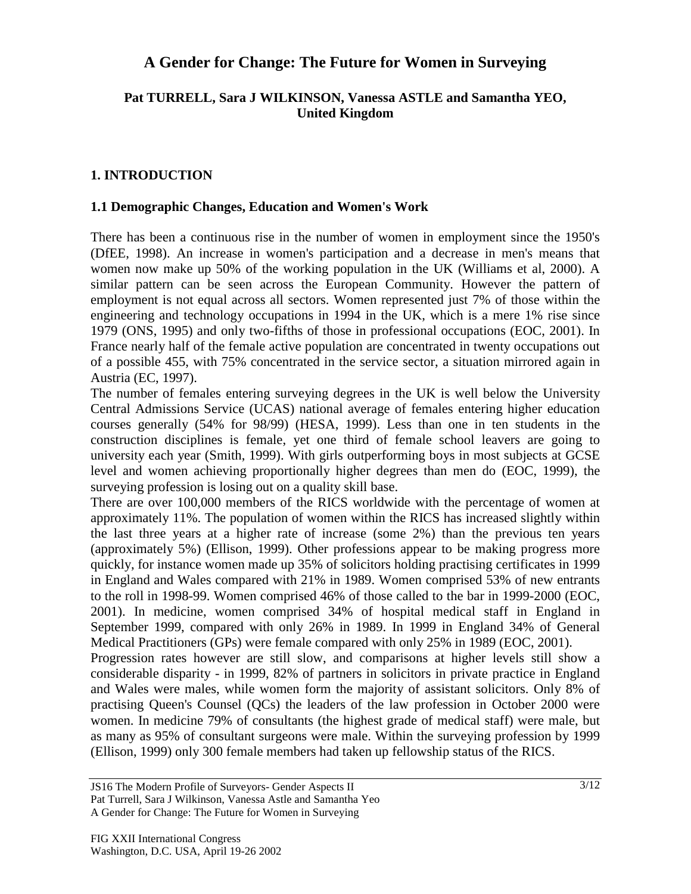## **A Gender for Change: The Future for Women in Surveying**

## **Pat TURRELL, Sara J WILKINSON, Vanessa ASTLE and Samantha YEO, United Kingdom**

## **1. INTRODUCTION**

#### **1.1 Demographic Changes, Education and Women's Work**

There has been a continuous rise in the number of women in employment since the 1950's (DfEE, 1998). An increase in women's participation and a decrease in men's means that women now make up 50% of the working population in the UK (Williams et al, 2000). A similar pattern can be seen across the European Community. However the pattern of employment is not equal across all sectors. Women represented just 7% of those within the engineering and technology occupations in 1994 in the UK, which is a mere 1% rise since 1979 (ONS, 1995) and only two-fifths of those in professional occupations (EOC, 2001). In France nearly half of the female active population are concentrated in twenty occupations out of a possible 455, with 75% concentrated in the service sector, a situation mirrored again in Austria (EC, 1997).

The number of females entering surveying degrees in the UK is well below the University Central Admissions Service (UCAS) national average of females entering higher education courses generally (54% for 98/99) (HESA, 1999). Less than one in ten students in the construction disciplines is female, yet one third of female school leavers are going to university each year (Smith, 1999). With girls outperforming boys in most subjects at GCSE level and women achieving proportionally higher degrees than men do (EOC, 1999), the surveying profession is losing out on a quality skill base.

There are over 100,000 members of the RICS worldwide with the percentage of women at approximately 11%. The population of women within the RICS has increased slightly within the last three years at a higher rate of increase (some 2%) than the previous ten years (approximately 5%) (Ellison, 1999). Other professions appear to be making progress more quickly, for instance women made up 35% of solicitors holding practising certificates in 1999 in England and Wales compared with 21% in 1989. Women comprised 53% of new entrants to the roll in 1998-99. Women comprised 46% of those called to the bar in 1999-2000 (EOC, 2001). In medicine, women comprised 34% of hospital medical staff in England in September 1999, compared with only 26% in 1989. In 1999 in England 34% of General Medical Practitioners (GPs) were female compared with only 25% in 1989 (EOC, 2001).

Progression rates however are still slow, and comparisons at higher levels still show a considerable disparity - in 1999, 82% of partners in solicitors in private practice in England and Wales were males, while women form the majority of assistant solicitors. Only 8% of practising Queen's Counsel (QCs) the leaders of the law profession in October 2000 were women. In medicine 79% of consultants (the highest grade of medical staff) were male, but as many as 95% of consultant surgeons were male. Within the surveying profession by 1999 (Ellison, 1999) only 300 female members had taken up fellowship status of the RICS.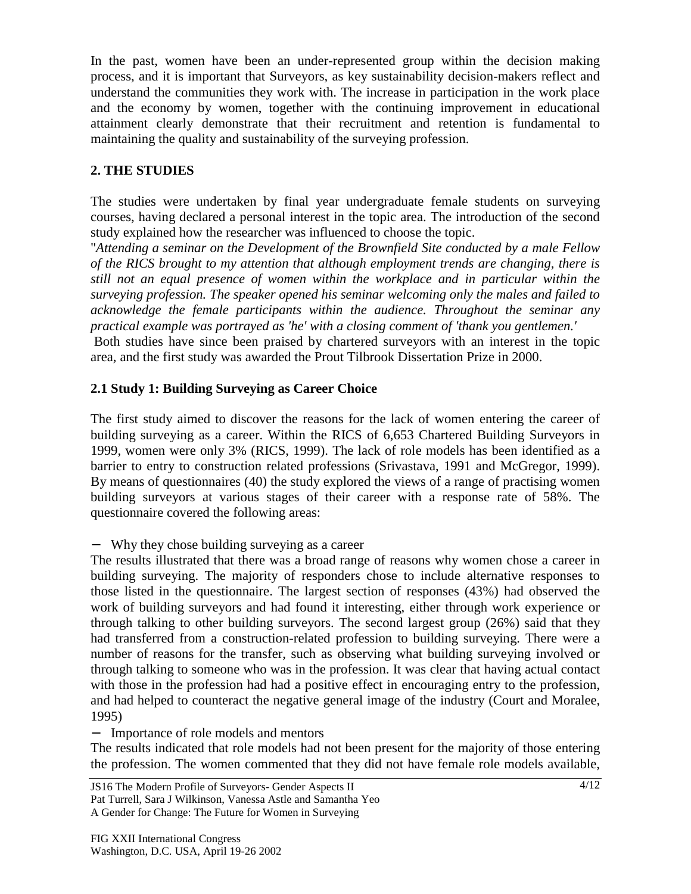In the past, women have been an under-represented group within the decision making process, and it is important that Surveyors, as key sustainability decision-makers reflect and understand the communities they work with. The increase in participation in the work place and the economy by women, together with the continuing improvement in educational attainment clearly demonstrate that their recruitment and retention is fundamental to maintaining the quality and sustainability of the surveying profession.

## **2. THE STUDIES**

The studies were undertaken by final year undergraduate female students on surveying courses, having declared a personal interest in the topic area. The introduction of the second study explained how the researcher was influenced to choose the topic.

"*Attending a seminar on the Development of the Brownfield Site conducted by a male Fellow of the RICS brought to my attention that although employment trends are changing, there is still not an equal presence of women within the workplace and in particular within the surveying profession. The speaker opened his seminar welcoming only the males and failed to acknowledge the female participants within the audience. Throughout the seminar any practical example was portrayed as 'he' with a closing comment of 'thank you gentlemen.'*

 Both studies have since been praised by chartered surveyors with an interest in the topic area, and the first study was awarded the Prout Tilbrook Dissertation Prize in 2000.

## **2.1 Study 1: Building Surveying as Career Choice**

The first study aimed to discover the reasons for the lack of women entering the career of building surveying as a career. Within the RICS of 6,653 Chartered Building Surveyors in 1999, women were only 3% (RICS, 1999). The lack of role models has been identified as a barrier to entry to construction related professions (Srivastava, 1991 and McGregor, 1999). By means of questionnaires (40) the study explored the views of a range of practising women building surveyors at various stages of their career with a response rate of 58%. The questionnaire covered the following areas:

− Why they chose building surveying as a career

The results illustrated that there was a broad range of reasons why women chose a career in building surveying. The majority of responders chose to include alternative responses to those listed in the questionnaire. The largest section of responses (43%) had observed the work of building surveyors and had found it interesting, either through work experience or through talking to other building surveyors. The second largest group (26%) said that they had transferred from a construction-related profession to building surveying. There were a number of reasons for the transfer, such as observing what building surveying involved or through talking to someone who was in the profession. It was clear that having actual contact with those in the profession had had a positive effect in encouraging entry to the profession, and had helped to counteract the negative general image of the industry (Court and Moralee, 1995)

− Importance of role models and mentors

The results indicated that role models had not been present for the majority of those entering the profession. The women commented that they did not have female role models available,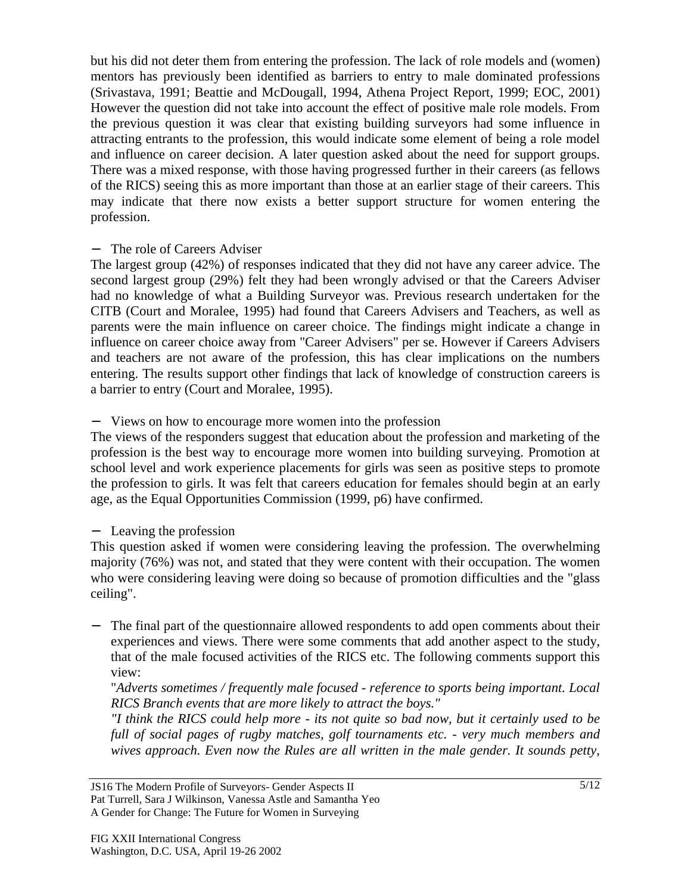but his did not deter them from entering the profession. The lack of role models and (women) mentors has previously been identified as barriers to entry to male dominated professions (Srivastava, 1991; Beattie and McDougall, 1994, Athena Project Report, 1999; EOC, 2001) However the question did not take into account the effect of positive male role models. From the previous question it was clear that existing building surveyors had some influence in attracting entrants to the profession, this would indicate some element of being a role model and influence on career decision. A later question asked about the need for support groups. There was a mixed response, with those having progressed further in their careers (as fellows of the RICS) seeing this as more important than those at an earlier stage of their careers. This may indicate that there now exists a better support structure for women entering the profession.

#### The role of Careers Adviser

The largest group (42%) of responses indicated that they did not have any career advice. The second largest group (29%) felt they had been wrongly advised or that the Careers Adviser had no knowledge of what a Building Surveyor was. Previous research undertaken for the CITB (Court and Moralee, 1995) had found that Careers Advisers and Teachers, as well as parents were the main influence on career choice. The findings might indicate a change in influence on career choice away from "Career Advisers" per se. However if Careers Advisers and teachers are not aware of the profession, this has clear implications on the numbers entering. The results support other findings that lack of knowledge of construction careers is a barrier to entry (Court and Moralee, 1995).

### − Views on how to encourage more women into the profession

The views of the responders suggest that education about the profession and marketing of the profession is the best way to encourage more women into building surveying. Promotion at school level and work experience placements for girls was seen as positive steps to promote the profession to girls. It was felt that careers education for females should begin at an early age, as the Equal Opportunities Commission (1999, p6) have confirmed.

### − Leaving the profession

This question asked if women were considering leaving the profession. The overwhelming majority (76%) was not, and stated that they were content with their occupation. The women who were considering leaving were doing so because of promotion difficulties and the "glass ceiling".

The final part of the questionnaire allowed respondents to add open comments about their experiences and views. There were some comments that add another aspect to the study, that of the male focused activities of the RICS etc. The following comments support this view:

"*Adverts sometimes / frequently male focused - reference to sports being important. Local RICS Branch events that are more likely to attract the boys."*

*"I think the RICS could help more - its not quite so bad now, but it certainly used to be full of social pages of rugby matches, golf tournaments etc. - very much members and wives approach. Even now the Rules are all written in the male gender. It sounds petty,*

JS16 The Modern Profile of Surveyors- Gender Aspects II Pat Turrell, Sara J Wilkinson, Vanessa Astle and Samantha Yeo A Gender for Change: The Future for Women in Surveying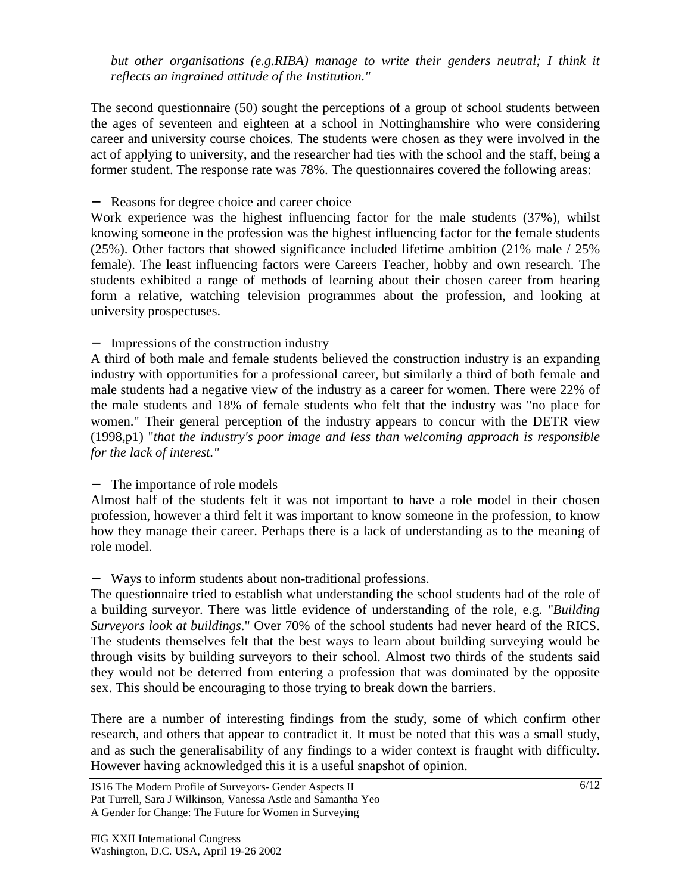*but other organisations (e.g.RIBA) manage to write their genders neutral; I think it reflects an ingrained attitude of the Institution."*

The second questionnaire (50) sought the perceptions of a group of school students between the ages of seventeen and eighteen at a school in Nottinghamshire who were considering career and university course choices. The students were chosen as they were involved in the act of applying to university, and the researcher had ties with the school and the staff, being a former student. The response rate was 78%. The questionnaires covered the following areas:

#### − Reasons for degree choice and career choice

Work experience was the highest influencing factor for the male students (37%), whilst knowing someone in the profession was the highest influencing factor for the female students (25%). Other factors that showed significance included lifetime ambition (21% male / 25% female). The least influencing factors were Careers Teacher, hobby and own research. The students exhibited a range of methods of learning about their chosen career from hearing form a relative, watching television programmes about the profession, and looking at university prospectuses.

#### − Impressions of the construction industry

A third of both male and female students believed the construction industry is an expanding industry with opportunities for a professional career, but similarly a third of both female and male students had a negative view of the industry as a career for women. There were 22% of the male students and 18% of female students who felt that the industry was "no place for women." Their general perception of the industry appears to concur with the DETR view (1998,p1) "*that the industry's poor image and less than welcoming approach is responsible for the lack of interest."*

### − The importance of role models

Almost half of the students felt it was not important to have a role model in their chosen profession, however a third felt it was important to know someone in the profession, to know how they manage their career. Perhaps there is a lack of understanding as to the meaning of role model.

### − Ways to inform students about non-traditional professions.

The questionnaire tried to establish what understanding the school students had of the role of a building surveyor. There was little evidence of understanding of the role, e.g. "*Building Surveyors look at buildings*." Over 70% of the school students had never heard of the RICS. The students themselves felt that the best ways to learn about building surveying would be through visits by building surveyors to their school. Almost two thirds of the students said they would not be deterred from entering a profession that was dominated by the opposite sex. This should be encouraging to those trying to break down the barriers.

There are a number of interesting findings from the study, some of which confirm other research, and others that appear to contradict it. It must be noted that this was a small study, and as such the generalisability of any findings to a wider context is fraught with difficulty. However having acknowledged this it is a useful snapshot of opinion.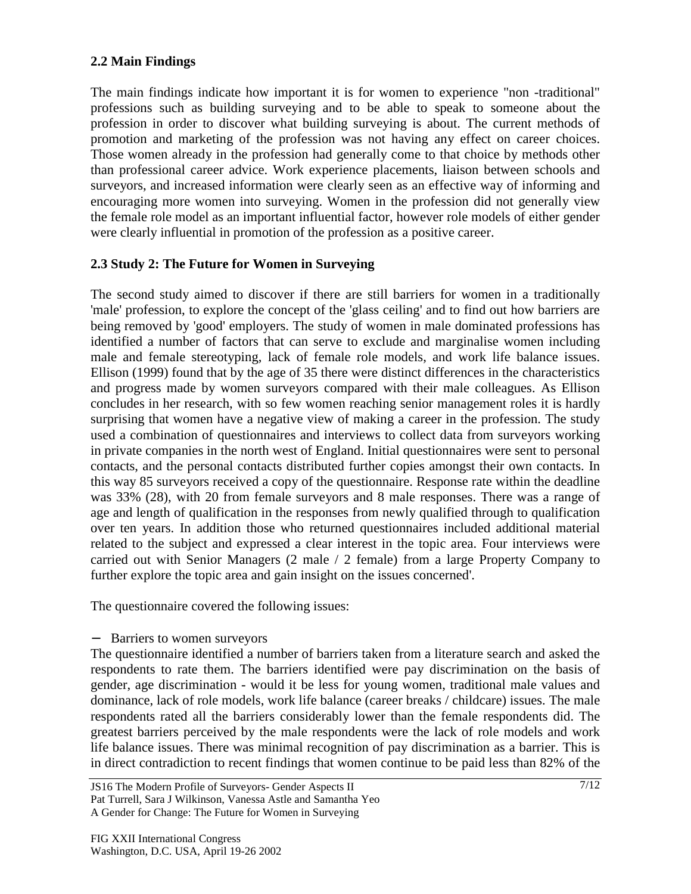## **2.2 Main Findings**

The main findings indicate how important it is for women to experience "non -traditional" professions such as building surveying and to be able to speak to someone about the profession in order to discover what building surveying is about. The current methods of promotion and marketing of the profession was not having any effect on career choices. Those women already in the profession had generally come to that choice by methods other than professional career advice. Work experience placements, liaison between schools and surveyors, and increased information were clearly seen as an effective way of informing and encouraging more women into surveying. Women in the profession did not generally view the female role model as an important influential factor, however role models of either gender were clearly influential in promotion of the profession as a positive career.

## **2.3 Study 2: The Future for Women in Surveying**

The second study aimed to discover if there are still barriers for women in a traditionally 'male' profession, to explore the concept of the 'glass ceiling' and to find out how barriers are being removed by 'good' employers. The study of women in male dominated professions has identified a number of factors that can serve to exclude and marginalise women including male and female stereotyping, lack of female role models, and work life balance issues. Ellison (1999) found that by the age of 35 there were distinct differences in the characteristics and progress made by women surveyors compared with their male colleagues. As Ellison concludes in her research, with so few women reaching senior management roles it is hardly surprising that women have a negative view of making a career in the profession. The study used a combination of questionnaires and interviews to collect data from surveyors working in private companies in the north west of England. Initial questionnaires were sent to personal contacts, and the personal contacts distributed further copies amongst their own contacts. In this way 85 surveyors received a copy of the questionnaire. Response rate within the deadline was 33% (28), with 20 from female surveyors and 8 male responses. There was a range of age and length of qualification in the responses from newly qualified through to qualification over ten years. In addition those who returned questionnaires included additional material related to the subject and expressed a clear interest in the topic area. Four interviews were carried out with Senior Managers (2 male / 2 female) from a large Property Company to further explore the topic area and gain insight on the issues concerned'.

The questionnaire covered the following issues:

#### − Barriers to women surveyors

The questionnaire identified a number of barriers taken from a literature search and asked the respondents to rate them. The barriers identified were pay discrimination on the basis of gender, age discrimination - would it be less for young women, traditional male values and dominance, lack of role models, work life balance (career breaks / childcare) issues. The male respondents rated all the barriers considerably lower than the female respondents did. The greatest barriers perceived by the male respondents were the lack of role models and work life balance issues. There was minimal recognition of pay discrimination as a barrier. This is in direct contradiction to recent findings that women continue to be paid less than 82% of the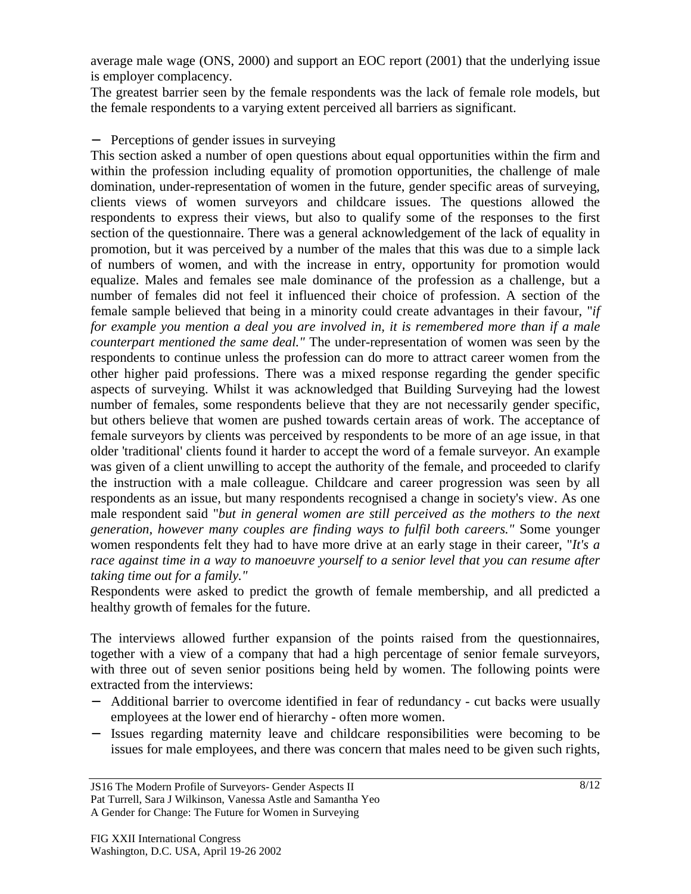average male wage (ONS, 2000) and support an EOC report (2001) that the underlying issue is employer complacency.

The greatest barrier seen by the female respondents was the lack of female role models, but the female respondents to a varying extent perceived all barriers as significant.

#### − Perceptions of gender issues in surveying

This section asked a number of open questions about equal opportunities within the firm and within the profession including equality of promotion opportunities, the challenge of male domination, under-representation of women in the future, gender specific areas of surveying, clients views of women surveyors and childcare issues. The questions allowed the respondents to express their views, but also to qualify some of the responses to the first section of the questionnaire. There was a general acknowledgement of the lack of equality in promotion, but it was perceived by a number of the males that this was due to a simple lack of numbers of women, and with the increase in entry, opportunity for promotion would equalize. Males and females see male dominance of the profession as a challenge, but a number of females did not feel it influenced their choice of profession. A section of the female sample believed that being in a minority could create advantages in their favour, "*if for example you mention a deal you are involved in, it is remembered more than if a male counterpart mentioned the same deal."* The under-representation of women was seen by the respondents to continue unless the profession can do more to attract career women from the other higher paid professions. There was a mixed response regarding the gender specific aspects of surveying. Whilst it was acknowledged that Building Surveying had the lowest number of females, some respondents believe that they are not necessarily gender specific, but others believe that women are pushed towards certain areas of work. The acceptance of female surveyors by clients was perceived by respondents to be more of an age issue, in that older 'traditional' clients found it harder to accept the word of a female surveyor. An example was given of a client unwilling to accept the authority of the female, and proceeded to clarify the instruction with a male colleague. Childcare and career progression was seen by all respondents as an issue, but many respondents recognised a change in society's view. As one male respondent said "*but in general women are still perceived as the mothers to the next generation, however many couples are finding ways to fulfil both careers."* Some younger women respondents felt they had to have more drive at an early stage in their career, "*It's a race against time in a way to manoeuvre yourself to a senior level that you can resume after taking time out for a family."*

Respondents were asked to predict the growth of female membership, and all predicted a healthy growth of females for the future.

The interviews allowed further expansion of the points raised from the questionnaires, together with a view of a company that had a high percentage of senior female surveyors, with three out of seven senior positions being held by women. The following points were extracted from the interviews:

- − Additional barrier to overcome identified in fear of redundancy cut backs were usually employees at the lower end of hierarchy - often more women.
- − Issues regarding maternity leave and childcare responsibilities were becoming to be issues for male employees, and there was concern that males need to be given such rights,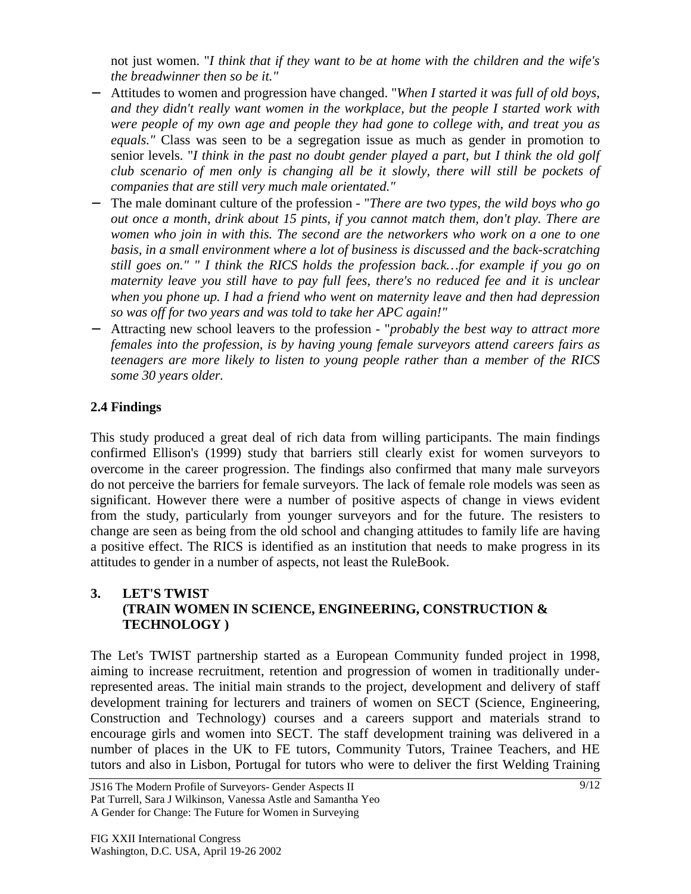not just women. "*I think that if they want to be at home with the children and the wife's the breadwinner then so be it."*

- − Attitudes to women and progression have changed. "*When I started it was full of old boys, and they didn't really want women in the workplace, but the people I started work with were people of my own age and people they had gone to college with, and treat you as equals."* Class was seen to be a segregation issue as much as gender in promotion to senior levels. "*I think in the past no doubt gender played a part, but I think the old golf club scenario of men only is changing all be it slowly, there will still be pockets of companies that are still very much male orientated."*
- − The male dominant culture of the profession "*There are two types, the wild boys who go out once a month, drink about 15 pints, if you cannot match them, don't play. There are women who join in with this. The second are the networkers who work on a one to one basis, in a small environment where a lot of business is discussed and the back-scratching still goes on." " I think the RICS holds the profession back…for example if you go on maternity leave you still have to pay full fees, there's no reduced fee and it is unclear when you phone up. I had a friend who went on maternity leave and then had depression so was off for two years and was told to take her APC again!"*
- − Attracting new school leavers to the profession "*probably the best way to attract more females into the profession, is by having young female surveyors attend careers fairs as teenagers are more likely to listen to young people rather than a member of the RICS some 30 years older.*

## **2.4 Findings**

This study produced a great deal of rich data from willing participants. The main findings confirmed Ellison's (1999) study that barriers still clearly exist for women surveyors to overcome in the career progression. The findings also confirmed that many male surveyors do not perceive the barriers for female surveyors. The lack of female role models was seen as significant. However there were a number of positive aspects of change in views evident from the study, particularly from younger surveyors and for the future. The resisters to change are seen as being from the old school and changing attitudes to family life are having a positive effect. The RICS is identified as an institution that needs to make progress in its attitudes to gender in a number of aspects, not least the RuleBook.

## **3. LET'S TWIST (TRAIN WOMEN IN SCIENCE, ENGINEERING, CONSTRUCTION & TECHNOLOGY )**

The Let's TWIST partnership started as a European Community funded project in 1998, aiming to increase recruitment, retention and progression of women in traditionally underrepresented areas. The initial main strands to the project, development and delivery of staff development training for lecturers and trainers of women on SECT (Science, Engineering, Construction and Technology) courses and a careers support and materials strand to encourage girls and women into SECT. The staff development training was delivered in a number of places in the UK to FE tutors, Community Tutors, Trainee Teachers, and HE tutors and also in Lisbon, Portugal for tutors who were to deliver the first Welding Training

JS16 The Modern Profile of Surveyors- Gender Aspects II Pat Turrell, Sara J Wilkinson, Vanessa Astle and Samantha Yeo A Gender for Change: The Future for Women in Surveying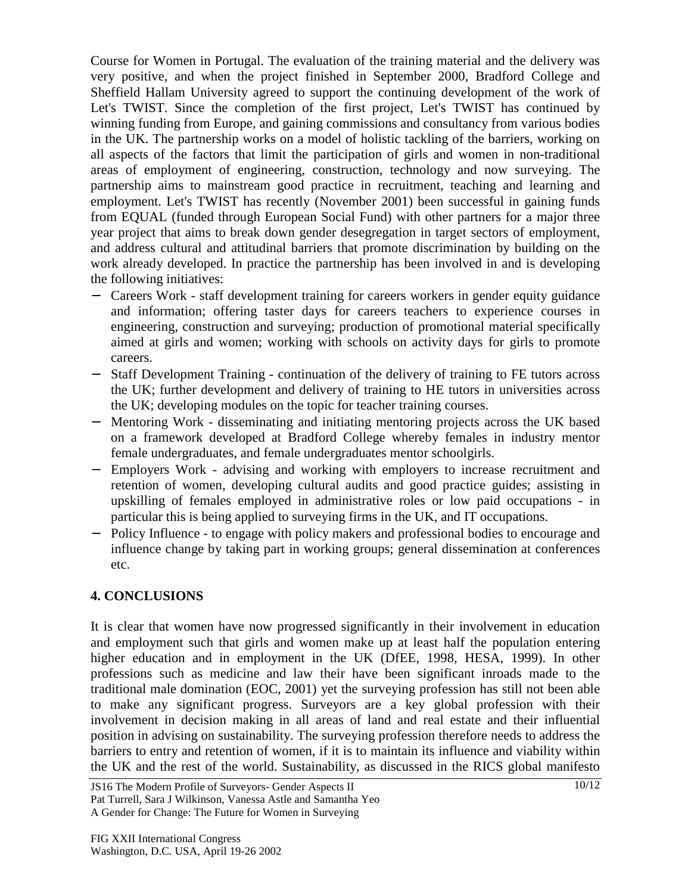Course for Women in Portugal. The evaluation of the training material and the delivery was very positive, and when the project finished in September 2000, Bradford College and Sheffield Hallam University agreed to support the continuing development of the work of Let's TWIST. Since the completion of the first project, Let's TWIST has continued by winning funding from Europe, and gaining commissions and consultancy from various bodies in the UK. The partnership works on a model of holistic tackling of the barriers, working on all aspects of the factors that limit the participation of girls and women in non-traditional areas of employment of engineering, construction, technology and now surveying. The partnership aims to mainstream good practice in recruitment, teaching and learning and employment. Let's TWIST has recently (November 2001) been successful in gaining funds from EQUAL (funded through European Social Fund) with other partners for a major three year project that aims to break down gender desegregation in target sectors of employment, and address cultural and attitudinal barriers that promote discrimination by building on the work already developed. In practice the partnership has been involved in and is developing the following initiatives:

- − Careers Work staff development training for careers workers in gender equity guidance and information; offering taster days for careers teachers to experience courses in engineering, construction and surveying; production of promotional material specifically aimed at girls and women; working with schools on activity days for girls to promote careers.
- − Staff Development Training continuation of the delivery of training to FE tutors across the UK; further development and delivery of training to HE tutors in universities across the UK; developing modules on the topic for teacher training courses.
- − Mentoring Work disseminating and initiating mentoring projects across the UK based on a framework developed at Bradford College whereby females in industry mentor female undergraduates, and female undergraduates mentor schoolgirls.
- − Employers Work advising and working with employers to increase recruitment and retention of women, developing cultural audits and good practice guides; assisting in upskilling of females employed in administrative roles or low paid occupations - in particular this is being applied to surveying firms in the UK, and IT occupations.
- − Policy Influence to engage with policy makers and professional bodies to encourage and influence change by taking part in working groups; general dissemination at conferences etc.

## **4. CONCLUSIONS**

It is clear that women have now progressed significantly in their involvement in education and employment such that girls and women make up at least half the population entering higher education and in employment in the UK (DfEE, 1998, HESA, 1999). In other professions such as medicine and law their have been significant inroads made to the traditional male domination (EOC, 2001) yet the surveying profession has still not been able to make any significant progress. Surveyors are a key global profession with their involvement in decision making in all areas of land and real estate and their influential position in advising on sustainability. The surveying profession therefore needs to address the barriers to entry and retention of women, if it is to maintain its influence and viability within the UK and the rest of the world. Sustainability, as discussed in the RICS global manifesto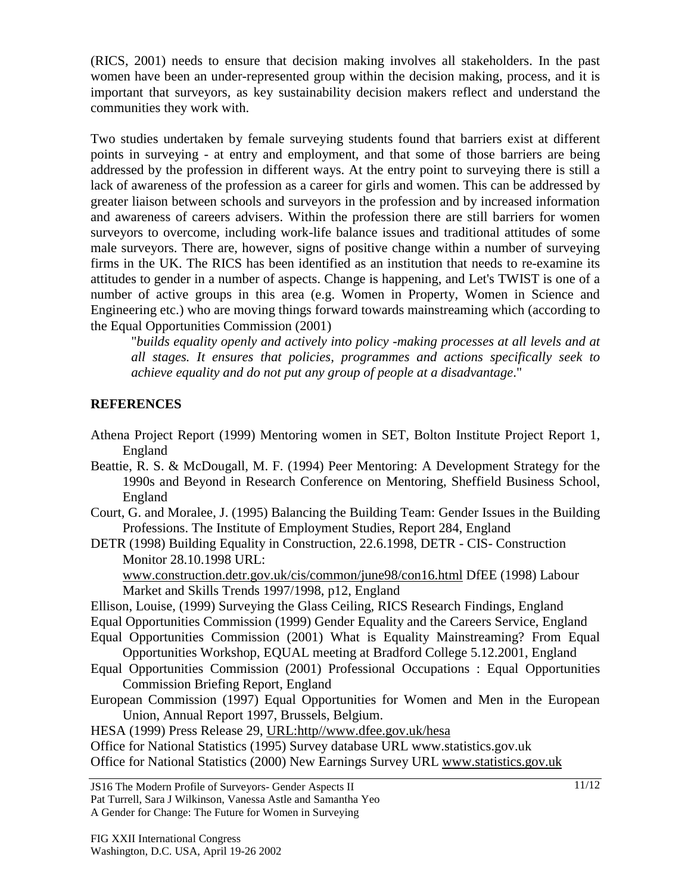(RICS, 2001) needs to ensure that decision making involves all stakeholders. In the past women have been an under-represented group within the decision making, process, and it is important that surveyors, as key sustainability decision makers reflect and understand the communities they work with.

Two studies undertaken by female surveying students found that barriers exist at different points in surveying - at entry and employment, and that some of those barriers are being addressed by the profession in different ways. At the entry point to surveying there is still a lack of awareness of the profession as a career for girls and women. This can be addressed by greater liaison between schools and surveyors in the profession and by increased information and awareness of careers advisers. Within the profession there are still barriers for women surveyors to overcome, including work-life balance issues and traditional attitudes of some male surveyors. There are, however, signs of positive change within a number of surveying firms in the UK. The RICS has been identified as an institution that needs to re-examine its attitudes to gender in a number of aspects. Change is happening, and Let's TWIST is one of a number of active groups in this area (e.g. Women in Property, Women in Science and Engineering etc.) who are moving things forward towards mainstreaming which (according to the Equal Opportunities Commission (2001)

"*builds equality openly and actively into policy -making processes at all levels and at all stages. It ensures that policies, programmes and actions specifically seek to achieve equality and do not put any group of people at a disadvantage*."

## **REFERENCES**

- Athena Project Report (1999) Mentoring women in SET, Bolton Institute Project Report 1, England
- Beattie, R. S. & McDougall, M. F. (1994) Peer Mentoring: A Development Strategy for the 1990s and Beyond in Research Conference on Mentoring, Sheffield Business School, England
- Court, G. and Moralee, J. (1995) Balancing the Building Team: Gender Issues in the Building Professions. The Institute of Employment Studies, Report 284, England
- DETR (1998) Building Equality in Construction, 22.6.1998, DETR CIS- Construction Monitor 28.10.1998 URL:

www.construction.detr.gov.uk/cis/common/june98/con16.html DfEE (1998) Labour Market and Skills Trends 1997/1998, p12, England

- Ellison, Louise, (1999) Surveying the Glass Ceiling, RICS Research Findings, England
- Equal Opportunities Commission (1999) Gender Equality and the Careers Service, England
- Equal Opportunities Commission (2001) What is Equality Mainstreaming? From Equal Opportunities Workshop, EQUAL meeting at Bradford College 5.12.2001, England
- Equal Opportunities Commission (2001) Professional Occupations : Equal Opportunities Commission Briefing Report, England
- European Commission (1997) Equal Opportunities for Women and Men in the European Union, Annual Report 1997, Brussels, Belgium.

HESA (1999) Press Release 29, URL:http//www.dfee.gov.uk/hesa

Office for National Statistics (1995) Survey database URL www.statistics.gov.uk Office for National Statistics (2000) New Earnings Survey URL www.statistics.gov.uk

JS16 The Modern Profile of Surveyors- Gender Aspects II

Pat Turrell, Sara J Wilkinson, Vanessa Astle and Samantha Yeo A Gender for Change: The Future for Women in Surveying